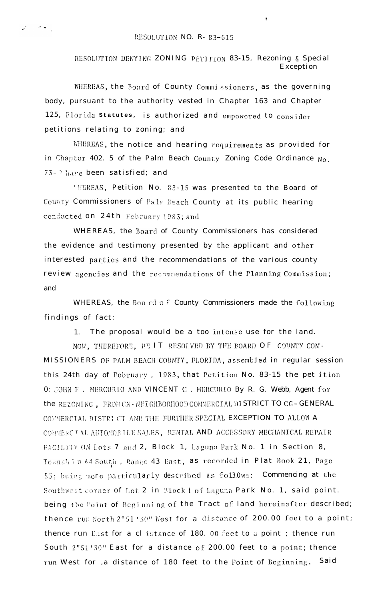RESOLUTION DENYING ZONING PETITION 83-15, Rezoning & Special Exception

WHEREAS, the Board of County Commissioners, as the governing body, pursuant to the authority vested in Chapter 163 and Chapter 125, Florida statutes, is authorized and empowered to consider petitions relating to zoning; and

WHEREAS, the notice and hearing requirements as provided for in Chapter 402. 5 of the Palm Beach County Zoning Code Ordinance  $N_0$ . 73-2 have been satisfied; and

'HEREAS, Petition No. 83-15 was presented to the Board of County Commissioners of Palm Beach County at its public hearing conducted on 24th February 1983; and

WHEREAS, the Board of County Commissioners has considered the evidence and testimony presented by the applicant and other interested parties and the recommendations of the various county review agencies and the recommendations of the Planning Commission; and

WHEREAS, the Board of County Commissioners made the following findings of fact:

1. The proposal would be a too intense use for the land.

NOW, THEREFORE, BE IT RESOLVED BY THE BOARD OF COUNTY COM-MISSIONERS OF PALM BEACH COUNTY, FLORIDA, assembled in regular session this 24th day of February, 1983, that Petition No. 83-15 the pet ition 0: JOHN F. MERCURIO AND VINCENT C. MERCURIO By R. G. Webb, Agent for the REZONING. FROM CN-NEI GHBORHOOD COMMERCIAL DI STRICT TO CG-GENERAL COMMERCIAL DISTRI CT AND THE FURTHER SPECIAL EXCEPTION TO ALLOW A COMMERC TAL AUTOMOBILE SALES, RENTAL AND ACCESSORY MECHANICAL REPAIR FACILITY ON Lots 7 and 2, Block 1, Laguna Park No. 1 in Section 8, Township 44 South, Range 43 East, as recorded in Plat Book 21, Page 53; being more particularly described as fol3.0ws: Commencing at the Southwest corner of Lot 2 in Block i of Laguna Park No. 1, said point. being the Point of Beginning of the Tract of land hereinafter described; thence run North 2°51'30" West for a distance of 200.00 feet to a point; thence run East for a cl istance of 180. 00 feet to a point; thence run South 2°51'30" East for a distance of 200.00 feet to a point; thence run West for ,a distance of 180 feet to the Point of Beginning. Said

المائية المحمد المحمد المحمد المحمد المحمد المحمد المحمد المحمد المحمد المحمد المحمد المحمد المحمد المحمد الم<br>المحمد المحمد المحمد المحمد المحمد المحمد المحمد المحمد المحمد المحمد المحمد المحمد المحمد المحمد المحمد المحم